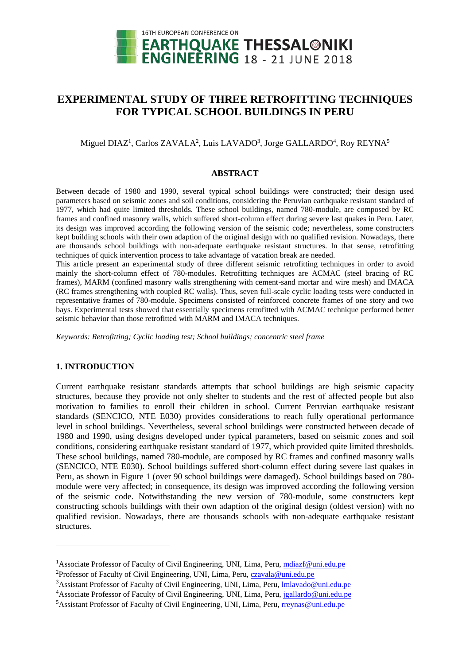

# **EXPERIMENTAL STUDY OF THREE RETROFITTING TECHNIQUES FOR TYPICAL SCHOOL BUILDINGS IN PERU**

## Miguel DIAZ<sup>1</sup>, Carlos ZAVALA<sup>2</sup>, Luis LAVADO<sup>3</sup>, Jorge GALLARDO<sup>4</sup>, Roy REYNA<sup>5</sup>

#### **ABSTRACT**

Between decade of 1980 and 1990, several typical school buildings were constructed; their design used parameters based on seismic zones and soil conditions, considering the Peruvian earthquake resistant standard of 1977, which had quite limited thresholds. These school buildings, named 780-module, are composed by RC frames and confined masonry walls, which suffered short-column effect during severe last quakes in Peru. Later, its design was improved according the following version of the seismic code; nevertheless, some constructers kept building schools with their own adaption of the original design with no qualified revision. Nowadays, there are thousands school buildings with non-adequate earthquake resistant structures. In that sense, retrofitting techniques of quick intervention process to take advantage of vacation break are needed.

This article present an experimental study of three different seismic retrofitting techniques in order to avoid mainly the short-column effect of 780-modules. Retrofitting techniques are ACMAC (steel bracing of RC frames), MARM (confined masonry walls strengthening with cement-sand mortar and wire mesh) and IMACA (RC frames strengthening with coupled RC walls). Thus, seven full-scale cyclic loading tests were conducted in representative frames of 780-module. Specimens consisted of reinforced concrete frames of one story and two bays. Experimental tests showed that essentially specimens retrofitted with ACMAC technique performed better seismic behavior than those retrofitted with MARM and IMACA techniques.

*Keywords: Retrofitting; Cyclic loading test; School buildings; concentric steel frame*

## **1. INTRODUCTION**

l

Current earthquake resistant standards attempts that school buildings are high seismic capacity structures, because they provide not only shelter to students and the rest of affected people but also motivation to families to enroll their children in school. Current Peruvian earthquake resistant standards (SENCICO, NTE E030) provides considerations to reach fully operational performance level in school buildings. Nevertheless, several school buildings were constructed between decade of 1980 and 1990, using designs developed under typical parameters, based on seismic zones and soil conditions, considering earthquake resistant standard of 1977, which provided quite limited thresholds. These school buildings, named 780-module, are composed by RC frames and confined masonry walls (SENCICO, NTE E030). School buildings suffered short-column effect during severe last quakes in Peru, as shown in Figure 1 (over 90 school buildings were damaged). School buildings based on 780 module were very affected; in consequence, its design was improved according the following version of the seismic code. Notwithstanding the new version of 780-module, some constructers kept constructing schools buildings with their own adaption of the original design (oldest version) with no qualified revision. Nowadays, there are thousands schools with non-adequate earthquake resistant structures.

<sup>&</sup>lt;sup>1</sup>Associate Professor of Faculty of Civil Engineering, UNI, Lima, Peru, [mdiazf@uni.edu.pe](mailto:mdiazf@uni.edu.pe)

<sup>&</sup>lt;sup>2</sup>Professor of Faculty of Civil Engineering, UNI, Lima, Peru, [czavala@uni.edu.pe](mailto:czavala@uni.edu.pe)

<sup>&</sup>lt;sup>3</sup>Assistant Professor of Faculty of Civil Engineering, UNI, Lima, Peru, *Imlavado@uni.edu.pe* 

<sup>4</sup>Associate Professor of Faculty of Civil Engineering, UNI, Lima, Peru, [jgallardo@uni.edu.pe](mailto:jgallardo@uni.edu.pe)

<sup>&</sup>lt;sup>5</sup> Assistant Professor of Faculty of Civil Engineering, UNI, Lima, Peru[, rreynas@uni.edu.pe](mailto:rreynas@uni.edu.pe)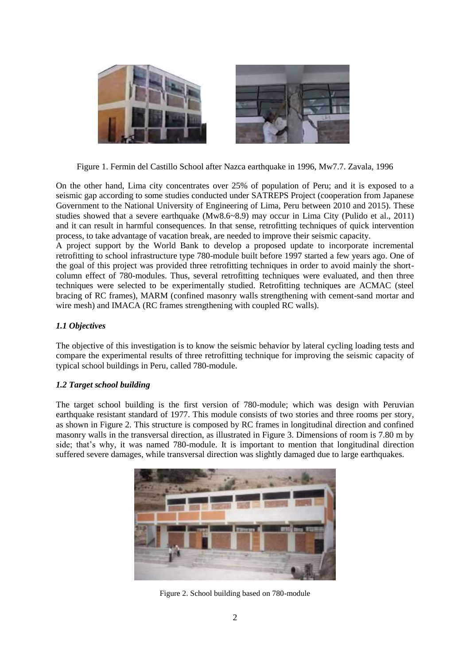

Figure 1. Fermin del Castillo School after Nazca earthquake in 1996, Mw7.7. Zavala, 1996

On the other hand, Lima city concentrates over 25% of population of Peru; and it is exposed to a seismic gap according to some studies conducted under SATREPS Project (cooperation from Japanese Government to the National University of Engineering of Lima, Peru between 2010 and 2015). These studies showed that a severe earthquake (Mw8.6~8.9) may occur in Lima City (Pulido et al., 2011) and it can result in harmful consequences. In that sense, retrofitting techniques of quick intervention process, to take advantage of vacation break, are needed to improve their seismic capacity.

A project support by the World Bank to develop a proposed update to incorporate incremental retrofitting to school infrastructure type 780-module built before 1997 started a few years ago. One of the goal of this project was provided three retrofitting techniques in order to avoid mainly the shortcolumn effect of 780-modules. Thus, several retrofitting techniques were evaluated, and then three techniques were selected to be experimentally studied. Retrofitting techniques are ACMAC (steel bracing of RC frames), MARM (confined masonry walls strengthening with cement-sand mortar and wire mesh) and IMACA (RC frames strengthening with coupled RC walls).

## *1.1 Objectives*

The objective of this investigation is to know the seismic behavior by lateral cycling loading tests and compare the experimental results of three retrofitting technique for improving the seismic capacity of typical school buildings in Peru, called 780-module.

## *1.2 Target school building*

The target school building is the first version of 780-module; which was design with Peruvian earthquake resistant standard of 1977. This module consists of two stories and three rooms per story, as shown in Figure 2. This structure is composed by RC frames in longitudinal direction and confined masonry walls in the transversal direction, as illustrated in Figure 3. Dimensions of room is 7.80 m by side; that's why, it was named 780-module. It is important to mention that longitudinal direction suffered severe damages, while transversal direction was slightly damaged due to large earthquakes.



Figure 2. School building based on 780-module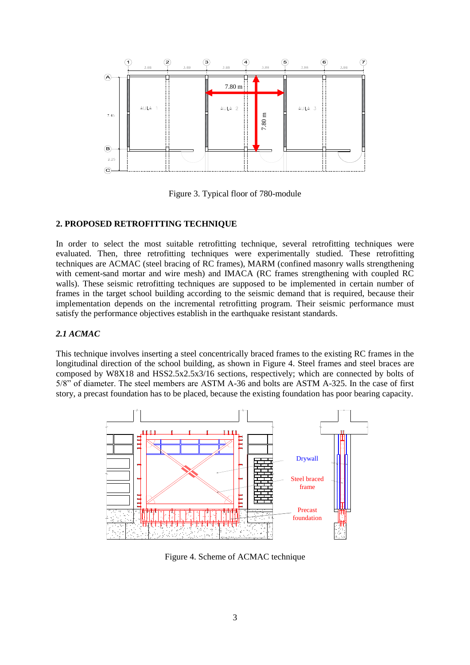

Figure 3. Typical floor of 780-module

#### **2. PROPOSED RETROFITTING TECHNIQUE**

In order to select the most suitable retrofitting technique, several retrofitting techniques were evaluated. Then, three retrofitting techniques were experimentally studied. These retrofitting techniques are ACMAC (steel bracing of RC frames), MARM (confined masonry walls strengthening with cement-sand mortar and wire mesh) and IMACA (RC frames strengthening with coupled RC walls). These seismic retrofitting techniques are supposed to be implemented in certain number of frames in the target school building according to the seismic demand that is required, because their implementation depends on the incremental retrofitting program. Their seismic performance must satisfy the performance objectives establish in the earthquake resistant standards.

#### *2.1 ACMAC*

This technique involves inserting a steel concentrically braced frames to the existing RC frames in the longitudinal direction of the school building, as shown in Figure 4. Steel frames and steel braces are composed by W8X18 and HSS2.5x2.5x3/16 sections, respectively; which are connected by bolts of 5/8" of diameter. The steel members are ASTM A-36 and bolts are ASTM A-325. In the case of first story, a precast foundation has to be placed, because the existing foundation has poor bearing capacity.



Figure 4. Scheme of ACMAC technique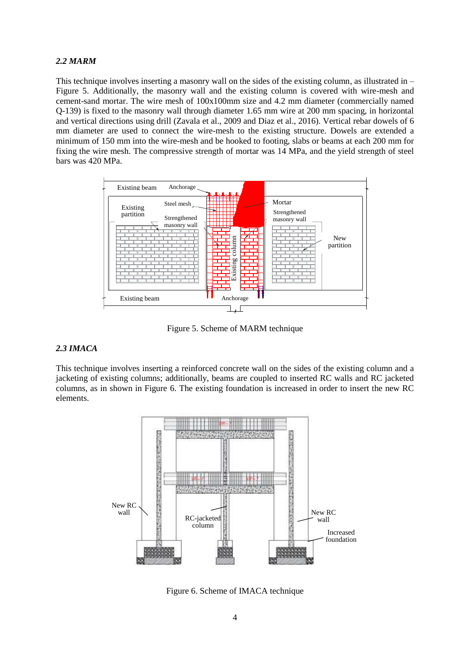## *2.2 MARM*

This technique involves inserting a masonry wall on the sides of the existing column, as illustrated in  $-$ Figure 5. Additionally, the masonry wall and the existing column is covered with wire-mesh and cement-sand mortar. The wire mesh of 100x100mm size and 4.2 mm diameter (commercially named Q-139) is fixed to the masonry wall through diameter 1.65 mm wire at 200 mm spacing, in horizontal and vertical directions using drill (Zavala et al., 2009 and Diaz et al., 2016). Vertical rebar dowels of 6 mm diameter are used to connect the wire-mesh to the existing structure. Dowels are extended a minimum of 150 mm into the wire-mesh and be hooked to footing, slabs or beams at each 200 mm for fixing the wire mesh. The compressive strength of mortar was 14 MPa, and the yield strength of steel bars was 420 MPa.



Figure 5. Scheme of MARM technique

### *2.3 IMACA*

This technique involves inserting a reinforced concrete wall on the sides of the existing column and a jacketing of existing columns; additionally, beams are coupled to inserted RC walls and RC jacketed columns, as in shown in Figure 6. The existing foundation is increased in order to insert the new RC elements.



Figure 6. Scheme of IMACA technique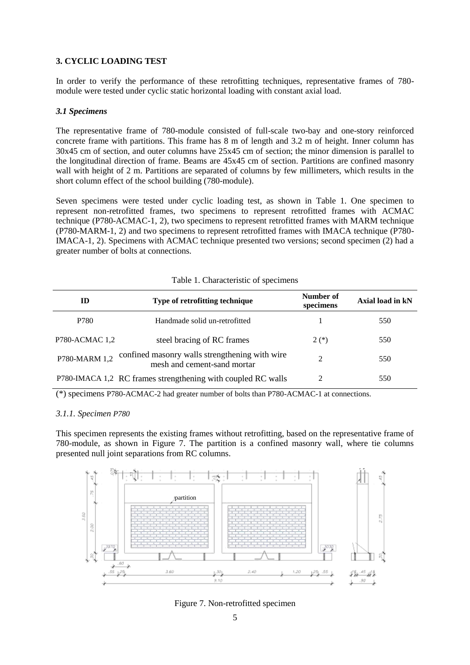## **3. CYCLIC LOADING TEST**

In order to verify the performance of these retrofitting techniques, representative frames of 780 module were tested under cyclic static horizontal loading with constant axial load.

#### *3.1 Specimens*

The representative frame of 780-module consisted of full-scale two-bay and one-story reinforced concrete frame with partitions. This frame has 8 m of length and 3.2 m of height. Inner column has 30x45 cm of section, and outer columns have 25x45 cm of section; the minor dimension is parallel to the longitudinal direction of frame. Beams are 45x45 cm of section. Partitions are confined masonry wall with height of 2 m. Partitions are separated of columns by few millimeters, which results in the short column effect of the school building (780-module).

Seven specimens were tested under cyclic loading test, as shown in Table 1. One specimen to represent non-retrofitted frames, two specimens to represent retrofitted frames with ACMAC technique (P780-ACMAC-1, 2), two specimens to represent retrofitted frames with MARM technique (P780-MARM-1, 2) and two specimens to represent retrofitted frames with IMACA technique (P780- IMACA-1, 2). Specimens with ACMAC technique presented two versions; second specimen (2) had a greater number of bolts at connections.

| Table 1. Characteristic of specimens |
|--------------------------------------|
|--------------------------------------|

| ID             | Type of retrofitting technique                                                | Number of<br>specimens      | Axial load in kN |
|----------------|-------------------------------------------------------------------------------|-----------------------------|------------------|
| P780           | Handmade solid un-retrofitted                                                 |                             | 550              |
| P780-ACMAC 1,2 | steel bracing of RC frames                                                    | $2(*)$                      | 550              |
| P780-MARM 1,2  | confined masonry walls strengthening with wire<br>mesh and cement-sand mortar | $\mathcal{D}_{\mathcal{L}}$ | 550              |
|                | P780-IMACA 1,2 RC frames strengthening with coupled RC walls                  | $\mathfrak{D}$              | 550              |

(\*) specimens P780-ACMAC-2 had greater number of bolts than P780-ACMAC-1 at connections.

### *3.1.1. Specimen P780*

This specimen represents the existing frames without retrofitting, based on the representative frame of 780-module, as shown in Figure 7. The partition is a confined masonry wall, where tie columns presented null joint separations from RC columns.



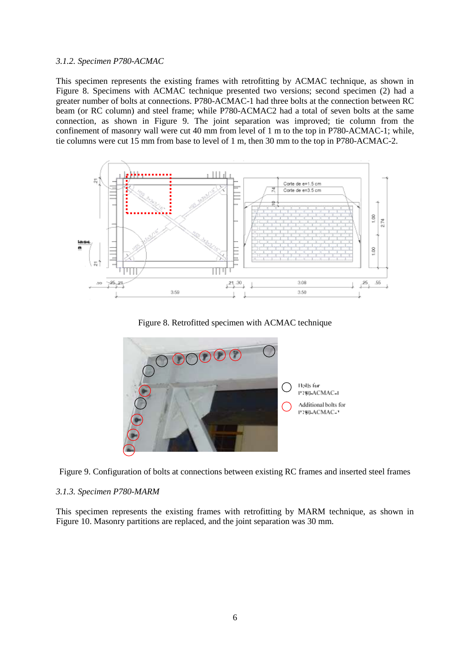#### *3.1.2. Specimen P780-ACMAC*

This specimen represents the existing frames with retrofitting by ACMAC technique, as shown in Figure 8. Specimens with ACMAC technique presented two versions; second specimen (2) had a greater number of bolts at connections. P780-ACMAC-1 had three bolts at the connection between RC beam (or RC column) and steel frame; while P780-ACMAC2 had a total of seven bolts at the same connection, as shown in Figure 9. The joint separation was improved; tie column from the confinement of masonry wall were cut 40 mm from level of 1 m to the top in P780-ACMAC-1; while, tie columns were cut 15 mm from base to level of 1 m, then 30 mm to the top in P780-ACMAC-2.



Figure 8. Retrofitted specimen with ACMAC technique





### *3.1.3. Specimen P780-MARM*

This specimen represents the existing frames with retrofitting by MARM technique, as shown in Figure 10. Masonry partitions are replaced, and the joint separation was 30 mm.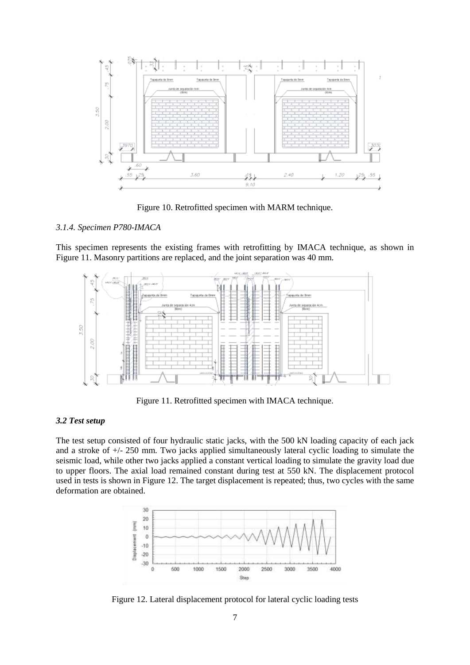

Figure 10. Retrofitted specimen with MARM technique.

#### *3.1.4. Specimen P780-IMACA*

This specimen represents the existing frames with retrofitting by IMACA technique, as shown in Figure 11. Masonry partitions are replaced, and the joint separation was 40 mm.



Figure 11. Retrofitted specimen with IMACA technique.

#### *3.2 Test setup*

The test setup consisted of four hydraulic static jacks, with the 500 kN loading capacity of each jack and a stroke of +/- 250 mm. Two jacks applied simultaneously lateral cyclic loading to simulate the seismic load, while other two jacks applied a constant vertical loading to simulate the gravity load due to upper floors. The axial load remained constant during test at 550 kN. The displacement protocol used in tests is shown in Figure 12. The target displacement is repeated; thus, two cycles with the same deformation are obtained.



Figure 12. Lateral displacement protocol for lateral cyclic loading tests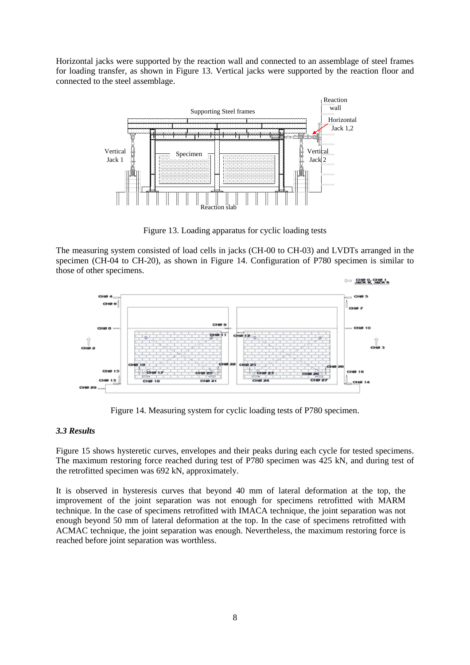Horizontal jacks were supported by the reaction wall and connected to an assemblage of steel frames for loading transfer, as shown in Figure 13. Vertical jacks were supported by the reaction floor and connected to the steel assemblage.



Figure 13. Loading apparatus for cyclic loading tests

The measuring system consisted of load cells in jacks (CH-00 to CH-03) and LVDTs arranged in the specimen (CH-04 to CH-20), as shown in Figure 14. Configuration of P780 specimen is similar to those of other specimens.



Figure 14. Measuring system for cyclic loading tests of P780 specimen.

## *3.3 Results*

Figure 15 shows hysteretic curves, envelopes and their peaks during each cycle for tested specimens. The maximum restoring force reached during test of P780 specimen was 425 kN, and during test of the retrofitted specimen was 692 kN, approximately.

It is observed in hysteresis curves that beyond 40 mm of lateral deformation at the top, the improvement of the joint separation was not enough for specimens retrofitted with MARM technique. In the case of specimens retrofitted with IMACA technique, the joint separation was not enough beyond 50 mm of lateral deformation at the top. In the case of specimens retrofitted with ACMAC technique, the joint separation was enough. Nevertheless, the maximum restoring force is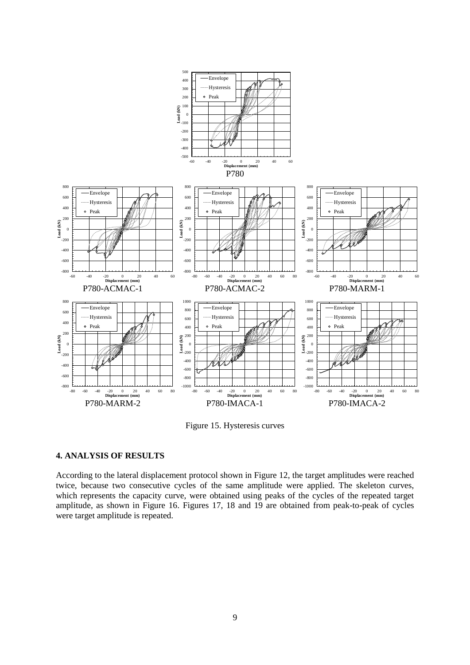

Figure 15. Hysteresis curves

## **4. ANALYSIS OF RESULTS**

According to the lateral displacement protocol shown in Figure 12, the target amplitudes were reached twice, because two consecutive cycles of the same amplitude were applied. The skeleton curves, which represents the capacity curve, were obtained using peaks of the cycles of the repeated target amplitude, as shown in Figure 16. Figures 17, 18 and 19 are obtained from peak-to-peak of cycles were target amplitude is repeated.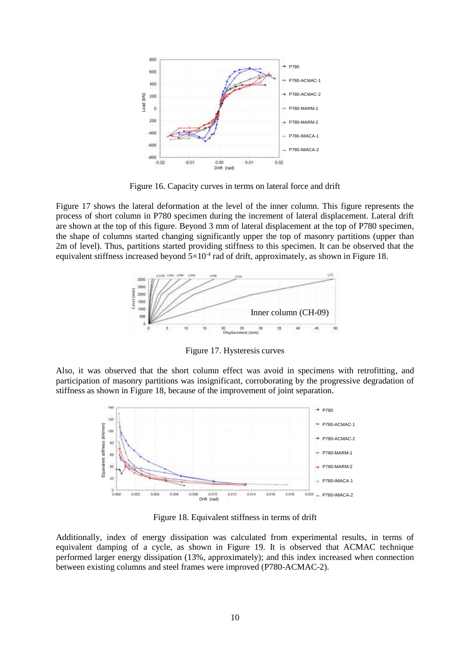

Figure 16. Capacity curves in terms on lateral force and drift

Figure 17 shows the lateral deformation at the level of the inner column. This figure represents the process of short column in P780 specimen during the increment of lateral displacement. Lateral drift are shown at the top of this figure. Beyond 3 mm of lateral displacement at the top of P780 specimen, the shape of columns started changing significantly upper the top of masonry partitions (upper than 2m of level). Thus, partitions started providing stiffness to this specimen. It can be observed that the equivalent stiffness increased beyond  $5\times10^{-4}$  rad of drift, approximately, as shown in Figure 18.



Figure 17. Hysteresis curves

Also, it was observed that the short column effect was avoid in specimens with retrofitting, and participation of masonry partitions was insignificant, corroborating by the progressive degradation of stiffness as shown in Figure 18, because of the improvement of joint separation.



Figure 18. Equivalent stiffness in terms of drift

Additionally, index of energy dissipation was calculated from experimental results, in terms of equivalent damping of a cycle, as shown in Figure 19. It is observed that ACMAC technique performed larger energy dissipation (13%, approximately); and this index increased when connection between existing columns and steel frames were improved (P780-ACMAC-2).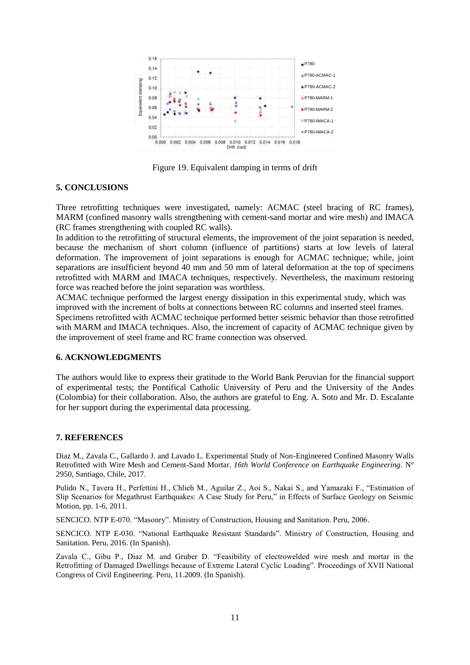

Figure 19. Equivalent damping in terms of drift

#### **5. CONCLUSIONS**

Three retrofitting techniques were investigated, namely: ACMAC (steel bracing of RC frames), MARM (confined masonry walls strengthening with cement-sand mortar and wire mesh) and IMACA (RC frames strengthening with coupled RC walls).

In addition to the retrofitting of structural elements, the improvement of the joint separation is needed, because the mechanism of short column (influence of partitions) starts at low levels of lateral deformation. The improvement of joint separations is enough for ACMAC technique; while, joint separations are insufficient beyond 40 mm and 50 mm of lateral deformation at the top of specimens retrofitted with MARM and IMACA techniques, respectively. Nevertheless, the maximum restoring force was reached before the joint separation was worthless.

ACMAC technique performed the largest energy dissipation in this experimental study, which was improved with the increment of bolts at connections between RC columns and inserted steel frames. Specimens retrofitted with ACMAC technique performed better seismic behavior than those retrofitted with MARM and IMACA techniques. Also, the increment of capacity of ACMAC technique given by the improvement of steel frame and RC frame connection was observed.

### **6. ACKNOWLEDGMENTS**

The authors would like to express their gratitude to the World Bank Peruvian for the financial support of experimental tests; the Pontifical Catholic University of Peru and the University of the Andes (Colombia) for their collaboration. Also, the authors are grateful to Eng. A. Soto and Mr. D. Escalante for her support during the experimental data processing.

#### **7. REFERENCES**

Diaz M., Zavala C., Gallardo J. and Lavado L. Experimental Study of Non-Engineered Confined Masonry Walls Retrofitted with Wire Mesh and Cement-Sand Mortar. *16th World Conference on Earthquake Engineering*. N° 2950, Santiago, Chile, 2017.

Pulido N., Tavera H., Perfettini H., Chlieh M., Aguilar Z., Aoi S., Nakai S., and Yamazaki F., "Estimation of Slip Scenarios for Megathrust Earthquakes: A Case Study for Peru," in Effects of Surface Geology on Seismic Motion, pp. 1-6, 2011.

SENCICO. NTP E-070. "Masonry". Ministry of Construction, Housing and Sanitation. Peru, 2006.

SENCICO. NTP E-030. "National Earthquake Resistant Standards". Ministry of Construction, Housing and Sanitation. Peru, 2016. (In Spanish).

Zavala C., Gibu P., Diaz M. and Gruber D. "Feasibility of electrowelded wire mesh and mortar in the Retrofitting of Damaged Dwellings because of Extreme Lateral Cyclic Loading". Proceedings of XVII National Congress of Civil Engineering. Peru, 11.2009. (In Spanish).